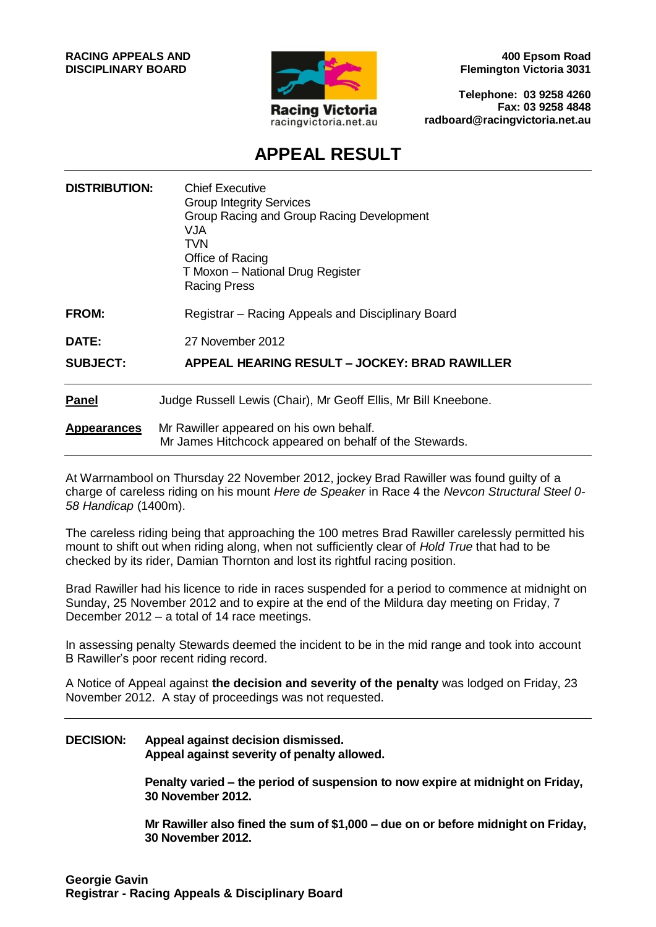

**400 Epsom Road Flemington Victoria 3031**

**Telephone: 03 9258 4260 Fax: 03 9258 4848 radboard@racingvictoria.net.au**

# **APPEAL RESULT**

| <b>DISTRIBUTION:</b> | <b>Chief Executive</b><br><b>Group Integrity Services</b><br>Group Racing and Group Racing Development<br>VJA<br>TVN<br>Office of Racing<br>T Moxon - National Drug Register<br><b>Racing Press</b> |
|----------------------|-----------------------------------------------------------------------------------------------------------------------------------------------------------------------------------------------------|
| <b>FROM:</b>         | Registrar – Racing Appeals and Disciplinary Board                                                                                                                                                   |
| DATE:                | 27 November 2012                                                                                                                                                                                    |
| <b>SUBJECT:</b>      | APPEAL HEARING RESULT - JOCKEY: BRAD RAWILLER                                                                                                                                                       |
| <b>Panel</b>         | Judge Russell Lewis (Chair), Mr Geoff Ellis, Mr Bill Kneebone.                                                                                                                                      |
| <b>Appearances</b>   | Mr Rawiller appeared on his own behalf.<br>Mr James Hitchcock appeared on behalf of the Stewards.                                                                                                   |

At Warrnambool on Thursday 22 November 2012, jockey Brad Rawiller was found guilty of a charge of careless riding on his mount *Here de Speaker* in Race 4 the *Nevcon Structural Steel 0- 58 Handicap* (1400m).

The careless riding being that approaching the 100 metres Brad Rawiller carelessly permitted his mount to shift out when riding along, when not sufficiently clear of *Hold True* that had to be checked by its rider, Damian Thornton and lost its rightful racing position.

Brad Rawiller had his licence to ride in races suspended for a period to commence at midnight on Sunday, 25 November 2012 and to expire at the end of the Mildura day meeting on Friday, 7 December 2012 – a total of 14 race meetings.

In assessing penalty Stewards deemed the incident to be in the mid range and took into account B Rawiller's poor recent riding record.

A Notice of Appeal against **the decision and severity of the penalty** was lodged on Friday, 23 November 2012. A stay of proceedings was not requested.

#### **DECISION: Appeal against decision dismissed. Appeal against severity of penalty allowed.**

**Penalty varied – the period of suspension to now expire at midnight on Friday, 30 November 2012.** 

**Mr Rawiller also fined the sum of \$1,000 – due on or before midnight on Friday, 30 November 2012.**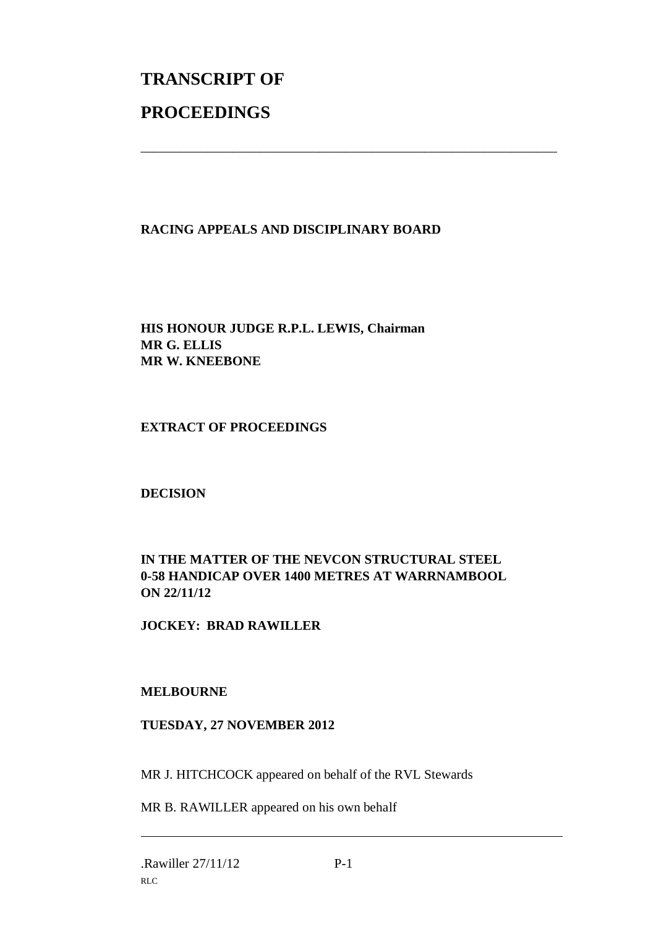# **TRANSCRIPT OF PROCEEDINGS**

## **RACING APPEALS AND DISCIPLINARY BOARD**

\_\_\_\_\_\_\_\_\_\_\_\_\_\_\_\_\_\_\_\_\_\_\_\_\_\_\_\_\_\_\_\_\_\_\_\_\_\_\_\_\_\_\_\_\_\_\_\_\_\_\_\_\_\_\_\_\_\_\_\_\_\_\_

**HIS HONOUR JUDGE R.P.L. LEWIS, Chairman MR G. ELLIS MR W. KNEEBONE**

#### **EXTRACT OF PROCEEDINGS**

#### **DECISION**

### **IN THE MATTER OF THE NEVCON STRUCTURAL STEEL 0-58 HANDICAP OVER 1400 METRES AT WARRNAMBOOL ON 22/11/12**

#### **JOCKEY: BRAD RAWILLER**

#### **MELBOURNE**

#### **TUESDAY, 27 NOVEMBER 2012**

MR J. HITCHCOCK appeared on behalf of the RVL Stewards

MR B. RAWILLER appeared on his own behalf